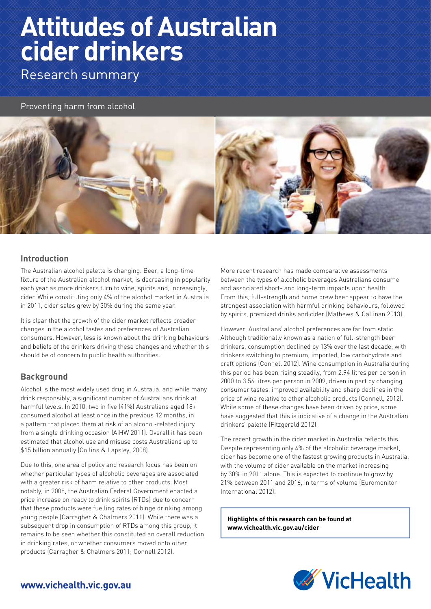# **Attitudes of Australian cider drinkers**

Research summary

## Preventing harm from alcohol



# **Introduction**

The Australian alcohol palette is changing. Beer, a long-time fixture of the Australian alcohol market, is decreasing in popularity each year as more drinkers turn to wine, spirits and, increasingly, cider. While constituting only 4% of the alcohol market in Australia in 2011, cider sales grew by 30% during the same year.

It is clear that the growth of the cider market reflects broader changes in the alcohol tastes and preferences of Australian consumers. However, less is known about the drinking behaviours and beliefs of the drinkers driving these changes and whether this should be of concern to public health authorities.

# **Background**

Alcohol is the most widely used drug in Australia, and while many drink responsibly, a significant number of Australians drink at harmful levels. In 2010, two in five (41%) Australians aged 18+ consumed alcohol at least once in the previous 12 months, in a pattern that placed them at risk of an alcohol-related injury from a single drinking occasion (AIHW 2011). Overall it has been estimated that alcohol use and misuse costs Australians up to \$15 billion annually (Collins & Lapsley, 2008).

Due to this, one area of policy and research focus has been on whether particular types of alcoholic beverages are associated with a greater risk of harm relative to other products. Most notably, in 2008, the Australian Federal Government enacted a price increase on ready to drink spirits (RTDs) due to concern that these products were fuelling rates of binge drinking among young people (Carragher & Chalmers 2011). While there was a subsequent drop in consumption of RTDs among this group, it remains to be seen whether this constituted an overall reduction in drinking rates, or whether consumers moved onto other products (Carragher & Chalmers 2011; Connell 2012).

More recent research has made comparative assessments between the types of alcoholic beverages Australians consume and associated short- and long-term impacts upon health. From this, full-strength and home brew beer appear to have the strongest association with harmful drinking behaviours, followed by spirits, premixed drinks and cider (Mathews & Callinan 2013).

However, Australians' alcohol preferences are far from static. Although traditionally known as a nation of full-strength beer drinkers, consumption declined by 13% over the last decade, with drinkers switching to premium, imported, low carbohydrate and craft options (Connell 2012). Wine consumption in Australia during this period has been rising steadily, from 2.94 litres per person in 2000 to 3.56 litres per person in 2009, driven in part by changing consumer tastes, improved availability and sharp declines in the price of wine relative to other alcoholic products (Connell, 2012). While some of these changes have been driven by price, some have suggested that this is indicative of a change in the Australian drinkers' palette (Fitzgerald 2012).

The recent growth in the cider market in Australia reflects this. Despite representing only 4% of the alcoholic beverage market, cider has become one of the fastest growing products in Australia, with the volume of cider available on the market increasing by 30% in 2011 alone. This is expected to continue to grow by 21% between 2011 and 2016, in terms of volume (Euromonitor International 2012).

**Highlights of this research can be found at www.vichealth.vic.gov.au/cider**

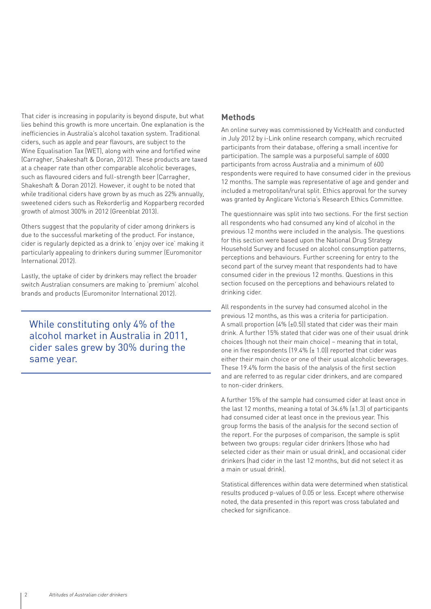That cider is increasing in popularity is beyond dispute, but what lies behind this growth is more uncertain. One explanation is the inefficiencies in Australia's alcohol taxation system. Traditional ciders, such as apple and pear flavours, are subject to the Wine Equalisation Tax (WET), along with wine and fortified wine (Carragher, Shakeshaft & Doran, 2012). These products are taxed at a cheaper rate than other comparable alcoholic beverages, such as flavoured ciders and full-strength beer (Carragher, Shakeshaft & Doran 2012). However, it ought to be noted that while traditional ciders have grown by as much as 22% annually, sweetened ciders such as Rekorderlig and Kopparberg recorded growth of almost 300% in 2012 (Greenblat 2013).

Others suggest that the popularity of cider among drinkers is due to the successful marketing of the product. For instance, cider is regularly depicted as a drink to 'enjoy over ice' making it particularly appealing to drinkers during summer (Euromonitor International 2012).

Lastly, the uptake of cider by drinkers may reflect the broader switch Australian consumers are making to 'premium' alcohol brands and products (Euromonitor International 2012).

While constituting only 4% of the alcohol market in Australia in 2011, cider sales grew by 30% during the same year.

#### **Methods**

An online survey was commissioned by VicHealth and conducted in July 2012 by i-Link online research company, which recruited participants from their database, offering a small incentive for participation. The sample was a purposeful sample of 6000 participants from across Australia and a minimum of 600 respondents were required to have consumed cider in the previous 12 months. The sample was representative of age and gender and included a metropolitan/rural split. Ethics approval for the survey was granted by Anglicare Victoria's Research Ethics Committee.

The questionnaire was split into two sections. For the first section all respondents who had consumed any kind of alcohol in the previous 12 months were included in the analysis. The questions for this section were based upon the National Drug Strategy Household Survey and focused on alcohol consumption patterns, perceptions and behaviours. Further screening for entry to the second part of the survey meant that respondents had to have consumed cider in the previous 12 months. Questions in this section focused on the perceptions and behaviours related to drinking cider.

All respondents in the survey had consumed alcohol in the previous 12 months, as this was a criteria for participation. A small proportion  $(4\%$   $(\pm 0.5))$  stated that cider was their main drink. A further 15% stated that cider was one of their usual drink choices (though not their main choice) – meaning that in total, one in five respondents  $(19.4\% \, (\pm \, 1.0))$  reported that cider was either their main choice or one of their usual alcoholic beverages. These 19.4% form the basis of the analysis of the first section and are referred to as regular cider drinkers, and are compared to non-cider drinkers.

A further 15% of the sample had consumed cider at least once in the last 12 months, meaning a total of  $34.6\%$  ( $\pm 1.3$ ) of participants had consumed cider at least once in the previous year. This group forms the basis of the analysis for the second section of the report. For the purposes of comparison, the sample is split between two groups: regular cider drinkers (those who had selected cider as their main or usual drink), and occasional cider drinkers (had cider in the last 12 months, but did not select it as a main or usual drink).

Statistical differences within data were determined when statistical results produced p-values of 0.05 or less. Except where otherwise noted, the data presented in this report was cross tabulated and checked for significance.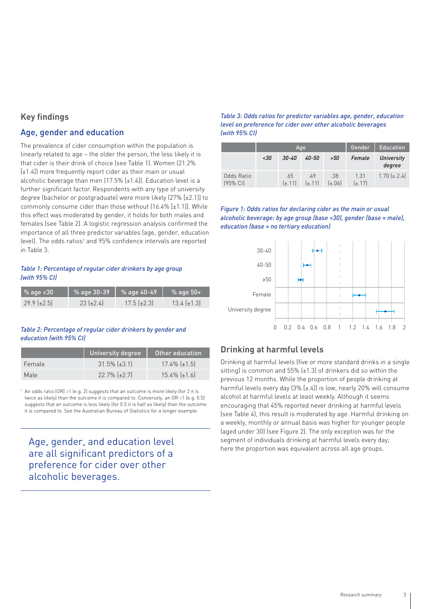## **Key findings**

## Age, gender and education

The prevalence of cider consumption within the population is linearly related to age – the older the person, the less likely it is that cider is their drink of choice (see Table 1). Women (21.2% [ $\pm$ 1.4]) more frequently report cider as their main or usual alcoholic beverage than men (17.5% [±1.4]). Education level is a further significant factor. Respondents with any type of university degree (bachelor or postgraduate) were more likely (27% [±2.1]) to commonly consume cider than those without (16.4% [±1.1]). While this effect was moderated by gender, it holds for both males and females (see Table 2). A logistic regression analysis confirmed the importance of all three predictor variables (age, gender, education level). The odds ratios<sup>1</sup> and 95% confidence intervals are reported in Table 3.

#### *Table 1: Percentage of regular cider drinkers by age group (with 95% CI)*

| % age <30      | % age 30-39   | $\%$ age 40-49  | $\frac{9}{6}$ age 50+ |
|----------------|---------------|-----------------|-----------------------|
| $29.9 \pm 2.5$ | $23 \pm 2.41$ | $17.5 \pm 2.31$ | $13.4 \pm 1.31$       |

#### *Table 2: Percentage of regular cider drinkers by gender and education (with 95% CI)*

|               | University degree      | Other education       |
|---------------|------------------------|-----------------------|
| <b>Female</b> | $31.5\%$ ( $\pm 3.1$ ) | $17.4\%$ ( $\pm$ 1.5) |
| Male          | $22.7\%$ ( $\pm 2.7$ ) | $15.4\%$ (±1.6)       |

<sup>1</sup> An odds ratio (OR) >1 (e.g. 2) suggests that an outcome is more likely (for 2 it is twice as likely) than the outcome it is compared to. Conversely, an OR <1 (e.g. 0.5) suggests that an outcome is less likely (for 0.5 it is half as likely) than the outcome it is compared to. See the Australian Bureau of Statistics for a longer example.

Age, gender, and education level are all significant predictors of a preference for cider over other alcoholic beverages.

*Table 3: Odds ratios for predictor variables age, gender, education level on preference for cider over other alcoholic beverages (with 95% CI)*

|                        | Age  |                 |                 | Gender             | <b>Education</b> |                             |
|------------------------|------|-----------------|-----------------|--------------------|------------------|-----------------------------|
|                        | $30$ | $30 - 40$       | 40-50           | >50                | Female           | <b>University</b><br>degree |
| Odds Ratio<br>(95% CI) |      | .65<br>$[+.11]$ | .49<br>$[+.11]$ | .38<br>$[\pm .06]$ | 1.31<br>[±.17]   | $1.70 \ (\pm .2.4)$         |

*Figure 1: Odds ratios for declaring cider as the main or usual alcoholic beverage: by age group (base <30), gender (base = male), education (base = no tertiary education)*



# **Drinking at harmful levels**

Drinking at harmful levels (five or more standard drinks in a single sitting) is common and  $55\%$  ( $\pm$ 1.3) of drinkers did so within the previous 12 months. While the proportion of people drinking at harmful levels every day  $(3\% [±.4])$  is low, nearly 20% will consume alcohol at harmful levels at least weekly. Although it seems encouraging that 45% reported never drinking at harmful levels (see Table 4), this result is moderated by age. Harmful drinking on a weekly, monthly or annual basis was higher for younger people (aged under 30) (see Figure 2). The only exception was for the segment of individuals drinking at harmful levels every day; here the proportion was equivalent across all age groups.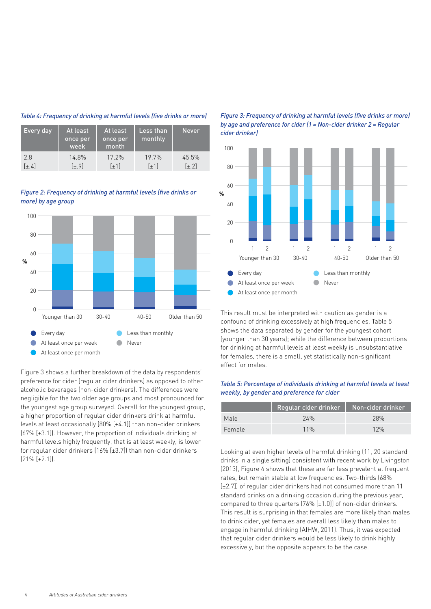| Table 4: Frequency of drinking at harmful levels (five drinks or more) |  |
|------------------------------------------------------------------------|--|
|------------------------------------------------------------------------|--|

| Every day  | At least<br>once per<br>week | At least<br>once per<br>month | Less than<br>monthly | <b>Never</b> |
|------------|------------------------------|-------------------------------|----------------------|--------------|
| 2.8        | 14.8%                        | 17.2%                         | 19 7%                | 45.5%        |
| $[\pm .4]$ | $[\pm .9]$                   | $[\pm 1]$                     | $[\pm 1]$            | $[\pm .2]$   |

*Figure 2: Frequency of drinking at harmful levels (five drinks or more) by age group*



Figure 3 shows a further breakdown of the data by respondents' preference for cider (regular cider drinkers) as opposed to other alcoholic beverages (non-cider drinkers). The differences were negligible for the two older age groups and most pronounced for the youngest age group surveyed. Overall for the youngest group, a higher proportion of regular cider drinkers drink at harmful levels at least occasionally (80% [±4.1]) than non-cider drinkers (67% [±3.1]). However, the proportion of individuals drinking at harmful levels highly frequently, that is at least weekly, is lower for regular cider drinkers (16% [±3.7]) than non-cider drinkers (21% [±2.1]).

*Figure 3: Frequency of drinking at harmful levels (five drinks or more) by age and preference for cider (1 = Non-cider drinker 2 = Regular cider drinker)*



This result must be interpreted with caution as gender is a confound of drinking excessively at high frequencies. Table 5 shows the data separated by gender for the youngest cohort (younger than 30 years); while the difference between proportions for drinking at harmful levels at least weekly is unsubstantiative for females, there is a small, yet statistically non-significant effect for males.

#### *Table 5: Percentage of individuals drinking at harmful levels at least weekly, by gender and preference for cider*

|               | Regular cider drinker | Non-cider drinker |
|---------------|-----------------------|-------------------|
| Male          | 24%                   | 28%               |
| <b>Female</b> | 11%                   | 12%               |

Looking at even higher levels of harmful drinking (11, 20 standard drinks in a single sitting) consistent with recent work by Livingston (2013), Figure 4 shows that these are far less prevalent at frequent rates, but remain stable at low frequencies. Two-thirds (68% [±2.7]) of regular cider drinkers had not consumed more than 11 standard drinks on a drinking occasion during the previous year, compared to three quarters (76% [±1.0]] of non-cider drinkers. This result is surprising in that females are more likely than males to drink cider, yet females are overall less likely than males to engage in harmful drinking (AIHW, 2011). Thus, it was expected that regular cider drinkers would be less likely to drink highly excessively, but the opposite appears to be the case.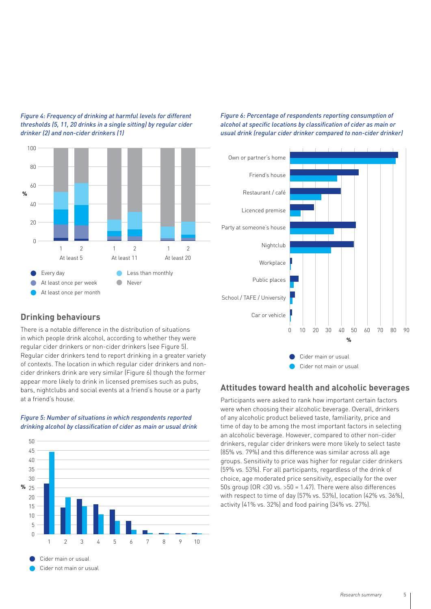

*Figure 4: Frequency of drinking at harmful levels for different thresholds (5, 11, 20 drinks in a single sitting) by regular cider* 

*drinker (2) and non-cider drinkers (1)*

*Figure 6: Percentage of respondents reporting consumption of alcohol at specific locations by classification of cider as main or usual drink (regular cider drinker compared to non-cider drinker)*



# **Drinking behaviours**

There is a notable difference in the distribution of situations in which people drink alcohol, according to whether they were regular cider drinkers or non-cider drinkers (see Figure 5). Regular cider drinkers tend to report drinking in a greater variety of contexts. The location in which regular cider drinkers and noncider drinkers drink are very similar (Figure 6) though the former appear more likely to drink in licensed premises such as pubs, bars, nightclubs and social events at a friend's house or a party at a friend's house.

#### *Figure 5: Number of situations in which respondents reported drinking alcohol by classification of cider as main or usual drink*



# **Attitudes toward health and alcoholic beverages**

Participants were asked to rank how important certain factors were when choosing their alcoholic beverage. Overall, drinkers of any alcoholic product believed taste, familiarity, price and time of day to be among the most important factors in selecting an alcoholic beverage. However, compared to other non-cider drinkers, regular cider drinkers were more likely to select taste (85% vs. 79%) and this difference was similar across all age groups. Sensitivity to price was higher for regular cider drinkers (59% vs. 53%). For all participants, regardless of the drink of choice, age moderated price sensitivity, especially for the over 50s group  $(OR < 30$  vs.  $> 50 = 1.47$ ). There were also differences with respect to time of day (57% vs. 53%), location (42% vs. 36%), activity (41% vs. 32%) and food pairing (34% vs. 27%).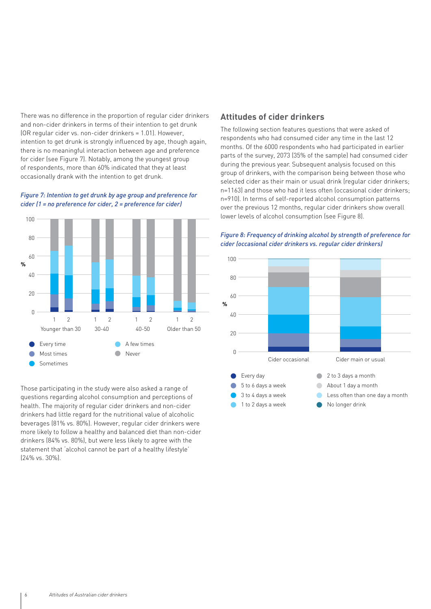There was no difference in the proportion of regular cider drinkers and non-cider drinkers in terms of their intention to get drunk (OR regular cider vs. non-cider drinkers = 1.01). However, intention to get drunk is strongly influenced by age, though again, there is no meaningful interaction between age and preference for cider (see Figure 7). Notably, among the youngest group of respondents, more than 60% indicated that they at least occasionally drank with the intention to get drunk.

#### *Figure 7: Intention to get drunk by age group and preference for cider (1 = no preference for cider, 2 = preference for cider)*



Those participating in the study were also asked a range of questions regarding alcohol consumption and perceptions of health. The majority of regular cider drinkers and non-cider drinkers had little regard for the nutritional value of alcoholic beverages (81% vs. 80%). However, regular cider drinkers were more likely to follow a healthy and balanced diet than non-cider drinkers (84% vs. 80%), but were less likely to agree with the statement that 'alcohol cannot be part of a healthy lifestyle' (24% vs. 30%).

## **Attitudes of cider drinkers**

The following section features questions that were asked of respondents who had consumed cider any time in the last 12 months. Of the 6000 respondents who had participated in earlier parts of the survey, 2073 (35% of the sample) had consumed cider during the previous year. Subsequent analysis focused on this group of drinkers, with the comparison being between those who selected cider as their main or usual drink (regular cider drinkers; n=1163) and those who had it less often (occasional cider drinkers; n=910). In terms of self-reported alcohol consumption patterns over the previous 12 months, regular cider drinkers show overall lower levels of alcohol consumption (see Figure 8).



#### *Figure 8: Frequency of drinking alcohol by strength of preference for cider (occasional cider drinkers vs. regular cider drinkers)*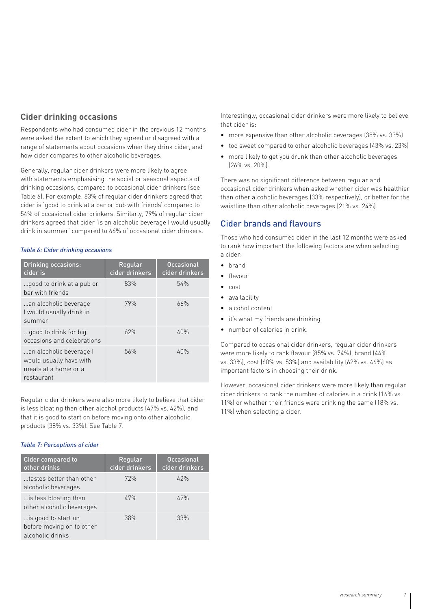# **Cider drinking occasions**

Respondents who had consumed cider in the previous 12 months were asked the extent to which they agreed or disagreed with a range of statements about occasions when they drink cider, and how cider compares to other alcoholic beverages.

Generally, regular cider drinkers were more likely to agree with statements emphasising the social or seasonal aspects of drinking occasions, compared to occasional cider drinkers (see Table 6). For example, 83% of regular cider drinkers agreed that cider is 'good to drink at a bar or pub with friends' compared to 54% of occasional cider drinkers. Similarly, 79% of regular cider drinkers agreed that cider 'is an alcoholic beverage I would usually drink in summer' compared to 66% of occasional cider drinkers.

#### *Table 6: Cider drinking occasions*

| <b>Drinking occasions:</b><br>cider is                                                    | Regular<br>cider drinkers | <b>Occasional</b><br>cider drinkers |
|-------------------------------------------------------------------------------------------|---------------------------|-------------------------------------|
| good to drink at a pub or<br>bar with friends                                             | 83%                       | 54%                                 |
| an alcoholic beverage<br>I would usually drink in<br>summer                               | 79%                       | 66%                                 |
| good to drink for big<br>occasions and celebrations                                       | 62%                       | 40%                                 |
| …an alcoholic beverage I<br>would usually have with<br>meals at a home or a<br>restaurant | 56%                       | 40%                                 |

Regular cider drinkers were also more likely to believe that cider is less bloating than other alcohol products (47% vs. 42%), and that it is good to start on before moving onto other alcoholic products (38% vs. 33%). See Table 7.

#### *Table 7: Perceptions of cider*

| <b>Cider compared to</b><br>other drinks                             | Regular<br>cider drinkers | <b>Occasional</b><br>cider drinkers |
|----------------------------------------------------------------------|---------------------------|-------------------------------------|
| tastes better than other<br>alcoholic beverages                      | 72%                       | 42%                                 |
| is less bloating than<br>other alcoholic beverages                   | 47%                       | 42%                                 |
| is good to start on<br>before moving on to other<br>alcoholic drinks | 38%                       | 33%                                 |

Interestingly, occasional cider drinkers were more likely to believe that cider is:

- more expensive than other alcoholic beverages (38% vs. 33%)
- too sweet compared to other alcoholic beverages (43% vs. 23%)
- more likely to get you drunk than other alcoholic beverages (26% vs. 20%).

There was no significant difference between regular and occasional cider drinkers when asked whether cider was healthier than other alcoholic beverages (33% respectively), or better for the waistline than other alcoholic beverages (21% vs. 24%).

## Cider brands and flavours

Those who had consumed cider in the last 12 months were asked to rank how important the following factors are when selecting a cider:

- brand
- flavour
- cost
- availability
- alcohol content
- it's what my friends are drinking
- number of calories in drink.

Compared to occasional cider drinkers, regular cider drinkers were more likely to rank flavour (85% vs. 74%), brand (44% vs. 33%), cost (60% vs. 53%) and availability (62% vs. 46%) as important factors in choosing their drink.

However, occasional cider drinkers were more likely than regular cider drinkers to rank the number of calories in a drink (16% vs. 11%) or whether their friends were drinking the same (18% vs. 11%) when selecting a cider.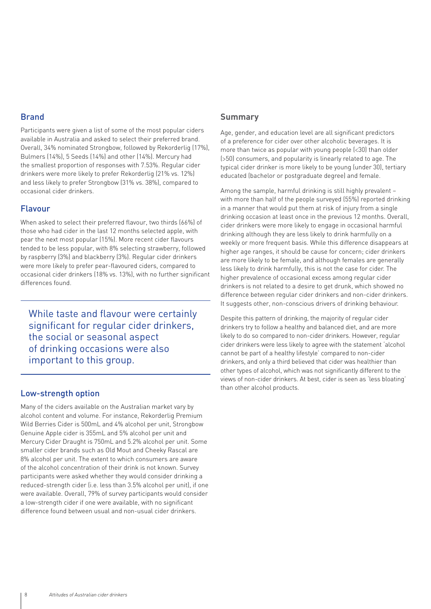# Brand

Participants were given a list of some of the most popular ciders available in Australia and asked to select their preferred brand. Overall, 34% nominated Strongbow, followed by Rekorderlig (17%), Bulmers (14%), 5 Seeds (14%) and other (14%). Mercury had the smallest proportion of responses with 7.53%. Regular cider drinkers were more likely to prefer Rekorderlig (21% vs. 12%) and less likely to prefer Strongbow (31% vs. 38%), compared to occasional cider drinkers.

## Flavour

When asked to select their preferred flavour, two thirds (66%) of those who had cider in the last 12 months selected apple, with pear the next most popular (15%). More recent cider flavours tended to be less popular, with 8% selecting strawberry, followed by raspberry (3%) and blackberry (3%). Regular cider drinkers were more likely to prefer pear-flavoured ciders, compared to occasional cider drinkers (18% vs. 13%), with no further significant differences found.

While taste and flavour were certainly significant for regular cider drinkers, the social or seasonal aspect of drinking occasions were also important to this group.

# Low-strength option

Many of the ciders available on the Australian market vary by alcohol content and volume. For instance, Rekorderlig Premium Wild Berries Cider is 500mL and 4% alcohol per unit, Strongbow Genuine Apple cider is 355mL and 5% alcohol per unit and Mercury Cider Draught is 750mL and 5.2% alcohol per unit. Some smaller cider brands such as Old Mout and Cheeky Rascal are 8% alcohol per unit. The extent to which consumers are aware of the alcohol concentration of their drink is not known. Survey participants were asked whether they would consider drinking a reduced-strength cider (i.e. less than 3.5% alcohol per unit), if one were available. Overall, 79% of survey participants would consider a low-strength cider if one were available, with no significant difference found between usual and non-usual cider drinkers.

## **Summary**

Age, gender, and education level are all significant predictors of a preference for cider over other alcoholic beverages. It is more than twice as popular with young people (<30) than older (>50) consumers, and popularity is linearly related to age. The typical cider drinker is more likely to be young (under 30), tertiary educated (bachelor or postgraduate degree) and female.

Among the sample, harmful drinking is still highly prevalent – with more than half of the people surveyed (55%) reported drinking in a manner that would put them at risk of injury from a single drinking occasion at least once in the previous 12 months. Overall, cider drinkers were more likely to engage in occasional harmful drinking although they are less likely to drink harmfully on a weekly or more frequent basis. While this difference disappears at higher age ranges, it should be cause for concern; cider drinkers are more likely to be female, and although females are generally less likely to drink harmfully, this is not the case for cider. The higher prevalence of occasional excess among regular cider drinkers is not related to a desire to get drunk, which showed no difference between regular cider drinkers and non-cider drinkers. It suggests other, non-conscious drivers of drinking behaviour.

Despite this pattern of drinking, the majority of regular cider drinkers try to follow a healthy and balanced diet, and are more likely to do so compared to non-cider drinkers. However, regular cider drinkers were less likely to agree with the statement 'alcohol cannot be part of a healthy lifestyle' compared to non-cider drinkers, and only a third believed that cider was healthier than other types of alcohol, which was not significantly different to the views of non-cider drinkers. At best, cider is seen as 'less bloating' than other alcohol products.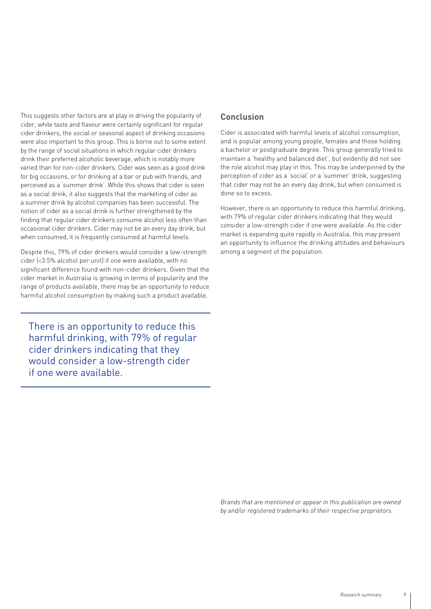This suggests other factors are at play in driving the popularity of cider, while taste and flavour were certainly significant for regular cider drinkers, the social or seasonal aspect of drinking occasions were also important to this group. This is borne out to some extent by the range of social situations in which regular cider drinkers drink their preferred alcoholic beverage, which is notably more varied than for non-cider drinkers. Cider was seen as a good drink for big occasions, or for drinking at a bar or pub with friends, and perceived as a 'summer drink'. While this shows that cider is seen as a social drink, it also suggests that the marketing of cider as a summer drink by alcohol companies has been successful. The notion of cider as a social drink is further strengthened by the finding that regular cider drinkers consume alcohol less often than occasional cider drinkers. Cider may not be an every day drink, but when consumed, it is frequently consumed at harmful levels.

Despite this, 79% of cider drinkers would consider a low-strength cider (<3.5% alcohol per unit) if one were available, with no significant difference found with non-cider drinkers. Given that the cider market in Australia is growing in terms of popularity and the range of products available, there may be an opportunity to reduce harmful alcohol consumption by making such a product available.

There is an opportunity to reduce this harmful drinking, with 79% of regular cider drinkers indicating that they would consider a low-strength cider if one were available.

## **Conclusion**

Cider is associated with harmful levels of alcohol consumption, and is popular among young people, females and those holding a bachelor or postgraduate degree. This group generally tried to maintain a 'healthy and balanced diet', but evidently did not see the role alcohol may play in this. This may be underpinned by the perception of cider as a 'social' or a 'summer' drink, suggesting that cider may not be an every day drink, but when consumed is done so to excess.

However, there is an opportunity to reduce this harmful drinking, with 79% of regular cider drinkers indicating that they would consider a low-strength cider if one were available. As the cider market is expanding quite rapidly in Australia, this may present an opportunity to influence the drinking attitudes and behaviours among a segment of the population.

*Brands that are mentioned or appear in this publication are owned by and/or registered trademarks of their respective proprietors.*